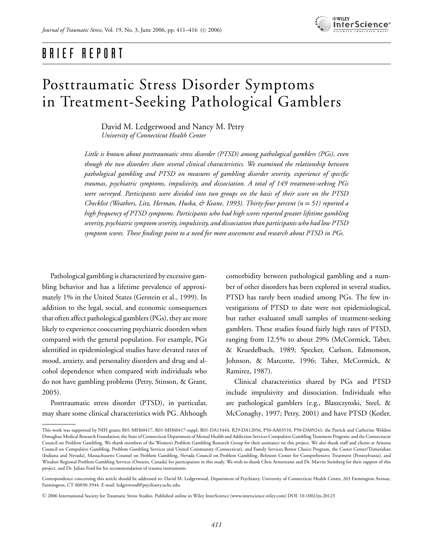

## BRIEF REPORT

# Posttraumatic Stress Disorder Symptoms in Treatment-Seeking Pathological Gamblers

David M. Ledgerwood and Nancy M. Petry *University of Connecticut Health Center*

*Little is known about posttraumatic stress disorder (PTSD) among pathological gamblers (PGs), even though the two disorders share several clinical characteristics. We examined the relationship between pathological gambling and PTSD on measures of gambling disorder severity, experience of specific traumas, psychiatric symptoms, impulsivity, and dissociation. A total of 149 treatment-seeking PGs were surveyed. Participants were divided into two groups on the basis of their score on the PTSD Checklist (Weathers, Litz, Herman, Huska, & Keane, 1993). Thirty-four percent (n* = *51) reported a high frequency of PTSD symptoms. Participants who had high scores reported greater lifetime gambling severity, psychiatric symptom severity, impulsivity, and dissociation than participants who had low PTSD symptom scores. These findings point to a need for more assessment and research about PTSD in PGs.*

Pathological gambling is characterized by excessive gambling behavior and has a lifetime prevalence of approximately 1% in the United States (Gerstein et al., 1999). In addition to the legal, social, and economic consequences that often affect pathological gamblers (PGs), they are more likely to experience cooccurring psychiatric disorders when compared with the general population. For example, PGs identified in epidemiological studies have elevated rates of mood, anxiety, and personality disorders and drug and alcohol dependence when compared with individuals who do not have gambling problems (Petry, Stinson, & Grant, 2005).

Posttraumatic stress disorder (PTSD), in particular, may share some clinical characteristics with PG. Although

comorbidity between pathological gambling and a number of other disorders has been explored in several studies, PTSD has rarely been studied among PGs. The few investigations of PTSD to date were not epidemiological, but rather evaluated small samples of treatment-seeking gamblers. These studies found fairly high rates of PTSD, ranging from 12.5% to about 29% (McCormick, Taber, & Kruedelbach, 1989; Specker, Carlson, Edmonson, Johnson, & Marcotte, 1996; Taber, McCormick, & Ramirez, 1987).

Clinical characteristics shared by PGs and PTSD include impulsivity and dissociation. Individuals who are pathological gamblers (e.g., Blaszczynski, Steel, & McConaghy, 1997; Petry, 2001) and have PTSD (Kotler,

This work was supported by NIH grants R01-MH60417, R01-MH60417-suppl, R01-DA13444, R29-DA12056, P50-AA03510, P50-DA09241; the Patrick and Catherine Weldon Donaghue Medical Research Foundation; the State of Connecticut Department of Mental Health and Addiction Services Compulsive Gambling Treatment Program; and the Connectucut Council on Problem Gambling. We thank members of the Women's Problem Gambling Research Group for their assistance on this project. We also thank staff and clients at Arizona Council on Compulsive Gambling, Problem Gambling Services and United Community (Connecticut), and Family Services Bettor Choice Program, the Custer Center/Trimeridian (Indiana and Nevada), Massachusetts Counsel on Problem Gambling, Nevada Council on Problem Gambling, Belmont Center for Comprehensive Treatment (Pennsylvania), and Windsor Regional Problem Gambling Services (Ontario, Canada) for participation in this study. We wish to thank Chris Armentano and Dr. Marvin Steinberg for their support of this project, and Dr. Julian Ford for his recommendation of trauma instruments.

Correspondence concerning this article should be addressed to: David M. Ledgerwood, Department of Psychiatry, University of Connecticut Health Center, 263 Farmington Avenue, Farmington, CT 06030-3944. E-mail: ledgerwood@psychiatry.uchc.edu.

<sup>C</sup> 2006 International Society for Traumatic Stress Studies. Published online in Wiley InterScience (www.interscience.wiley.com) DOI: 10.1002/jts.20123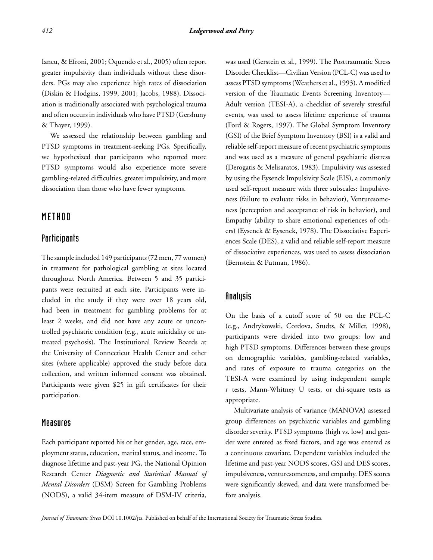Iancu, & Efroni, 2001; Oquendo et al., 2005) often report greater impulsivity than individuals without these disorders. PGs may also experience high rates of dissociation (Diskin & Hodgins, 1999, 2001; Jacobs, 1988). Dissociation is traditionally associated with psychological trauma and often occurs in individuals who have PTSD (Gershuny & Thayer, 1999).

We assessed the relationship between gambling and PTSD symptoms in treatment-seeking PGs. Specifically, we hypothesized that participants who reported more PTSD symptoms would also experience more severe gambling-related difficulties, greater impulsivity, and more dissociation than those who have fewer symptoms.

### METHOD

#### Participants

The sample included 149 participants (72 men, 77 women) in treatment for pathological gambling at sites located throughout North America. Between 5 and 35 participants were recruited at each site. Participants were included in the study if they were over 18 years old, had been in treatment for gambling problems for at least 2 weeks, and did not have any acute or uncontrolled psychiatric condition (e.g., acute suicidality or untreated psychosis). The Institutional Review Boards at the University of Connecticut Health Center and other sites (where applicable) approved the study before data collection, and written informed consent was obtained. Participants were given \$25 in gift certificates for their participation.

#### Measures

Each participant reported his or her gender, age, race, employment status, education, marital status, and income. To diagnose lifetime and past-year PG, the National Opinion Research Center *Diagnostic and Statistical Manual of Mental Disorders* (DSM) Screen for Gambling Problems (NODS), a valid 34-item measure of DSM-IV criteria,

was used (Gerstein et al., 1999). The Posttraumatic Stress Disorder Checklist—Civilian Version (PCL-C) was used to assess PTSD symptoms (Weathers et al., 1993). A modified version of the Traumatic Events Screening Inventory— Adult version (TESI-A), a checklist of severely stressful events, was used to assess lifetime experience of trauma (Ford & Rogers, 1997). The Global Symptom Inventory (GSI) of the Brief Symptom Inventory (BSI) is a valid and reliable self-report measure of recent psychiatric symptoms and was used as a measure of general psychiatric distress (Derogatis & Melisaratos, 1983). Impulsivity was assessed by using the Eysenck Impulsivity Scale (EIS), a commonly used self-report measure with three subscales: Impulsiveness (failure to evaluate risks in behavior), Venturesomeness (perception and acceptance of risk in behavior), and Empathy (ability to share emotional experiences of others) (Eysenck & Eysenck, 1978). The Dissociative Experiences Scale (DES), a valid and reliable self-report measure of dissociative experiences, was used to assess dissociation (Bernstein & Putman, 1986).

#### Analysis

On the basis of a cutoff score of 50 on the PCL-C (e.g., Andrykowski, Cordova, Studts, & Miller, 1998), participants were divided into two groups: low and high PTSD symptoms. Differences between these groups on demographic variables, gambling-related variables, and rates of exposure to trauma categories on the TESI-A were examined by using independent sample *t* tests, Mann-Whitney U tests, or chi-square tests as appropriate.

Multivariate analysis of variance (MANOVA) assessed group differences on psychiatric variables and gambling disorder severity. PTSD symptoms (high vs. low) and gender were entered as fixed factors, and age was entered as a continuous covariate. Dependent variables included the lifetime and past-year NODS scores, GSI and DES scores, impulsiveness, venturesomeness, and empathy. DES scores were significantly skewed, and data were transformed before analysis.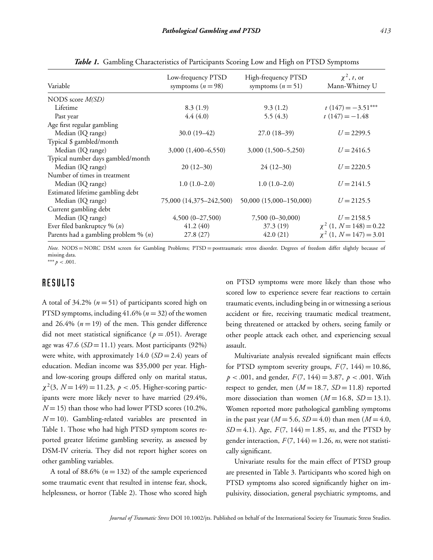| Variable                               | Low-frequency PTSD<br>symptoms $(n=98)$ | High-frequency PTSD<br>symptoms $(n=51)$ | $\chi^2$ , t, or<br>Mann-Whitney U |
|----------------------------------------|-----------------------------------------|------------------------------------------|------------------------------------|
| NODS score $M(SD)$                     |                                         |                                          |                                    |
| Lifetime                               | 8.3(1.9)                                | 9.3(1.2)                                 | $t(147) = -3.51***$                |
| Past year                              | 4.4(4.0)                                | 5.5(4.3)                                 | $t(147) = -1.48$                   |
| Age first regular gambling             |                                         |                                          |                                    |
| Median (IQ range)                      | $30.0(19-42)$                           | $27.0(18-39)$                            | $U = 2299.5$                       |
| Typical \$ gambled/month               |                                         |                                          |                                    |
| Median (IQ range)                      | $3,000(1,400-6,550)$                    | $3,000(1,500-5,250)$                     | $U = 2416.5$                       |
| Typical number days gambled/month      |                                         |                                          |                                    |
| Median (IQ range)                      | $20(12-30)$                             | $24(12-30)$                              | $U = 2220.5$                       |
| Number of times in treatment           |                                         |                                          |                                    |
| Median (IQ range)                      | $1.0(1.0-2.0)$                          | $1.0(1.0-2.0)$                           | $U = 2141.5$                       |
| Estimated lifetime gambling debt       |                                         |                                          |                                    |
| Median (IQ range)                      | 75,000 (14,375–242,500)                 | 50,000 (15,000-150,000)                  | $U = 2125.5$                       |
| Current gambling debt                  |                                         |                                          |                                    |
| Median (IQ range)                      | $4,500(0-27,500)$                       | $7,500(0-30,000)$                        | $U = 2158.5$                       |
| Ever filed bankruptcy % $(n)$          | 41.2(40)                                | 37.3 (19)                                | $\chi^2$ (1, N = 148) = 0.22       |
| Parents had a gambling problem % $(n)$ | 27.8(27)                                | 42.0(21)                                 | $\chi^2$ (1, N = 147) = 3.01       |

*Table 1.* Gambling Characteristics of Participants Scoring Low and High on PTSD Symptoms

*Note.* NODS = NORC DSM screen for Gambling Problems; PTSD = posttraumatic stress disorder. Degrees of freedom differ slightly because of missing data.

∗∗∗ *p* < .001.

## RESULTS

A total of  $34.2\%$   $(n=51)$  of participants scored high on PTSD symptoms, including  $41.6\%$  ( $n = 32$ ) of the women and 26.4%  $(n = 19)$  of the men. This gender difference did not meet statistical significance ( $p = .051$ ). Average age was  $47.6$  ( $SD = 11.1$ ) years. Most participants (92%) were white, with approximately  $14.0$  ( $SD = 2.4$ ) years of education. Median income was \$35,000 per year. Highand low-scoring groups differed only on marital status,  $\chi^2(3, N=149) = 11.23, p < .05$ . Higher-scoring participants were more likely never to have married (29.4%,  $N = 15$ ) than those who had lower PTSD scores (10.2%,  $N = 10$ ). Gambling-related variables are presented in Table 1. Those who had high PTSD symptom scores reported greater lifetime gambling severity, as assessed by DSM-IV criteria. They did not report higher scores on other gambling variables.

A total of 88.6%  $(n = 132)$  of the sample experienced some traumatic event that resulted in intense fear, shock, helplessness, or horror (Table 2). Those who scored high on PTSD symptoms were more likely than those who scored low to experience severe fear reactions to certain traumatic events, including being in or witnessing a serious accident or fire, receiving traumatic medical treatment, being threatened or attacked by others, seeing family or other people attack each other, and experiencing sexual assault.

Multivariate analysis revealed significant main effects for PTSD symptom severity groups,  $F(7, 144) = 10.86$ ,  $p < .001$ , and gender,  $F(7, 144) = 3.87$ ,  $p < .001$ . With respect to gender, men  $(M = 18.7, SD = 11.8)$  reported more dissociation than women  $(M = 16.8, SD = 13.1)$ . Women reported more pathological gambling symptoms in the past year  $(M = 5.6, SD = 4.0)$  than men  $(M = 4.0,$ *SD* = 4.1). Age,  $F(7, 144) = 1.85$ , *ns*, and the PTSD by gender interaction,  $F(7, 144) = 1.26$ , *ns*, were not statistically significant.

Univariate results for the main effect of PTSD group are presented in Table 3. Participants who scored high on PTSD symptoms also scored significantly higher on impulsivity, dissociation, general psychiatric symptoms, and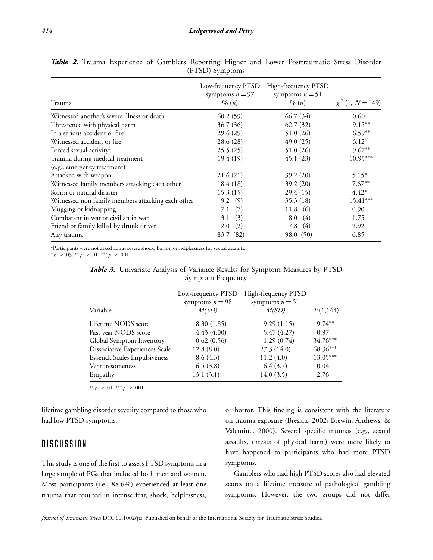| Trauma                                            | Low-frequency PTSD<br>symptoms $n = 97$<br>$\% (n)$ | High-frequency PTSD<br>symptoms $n = 51$<br>$\% (n)$ | $\chi^2$ (1, N = 149) |
|---------------------------------------------------|-----------------------------------------------------|------------------------------------------------------|-----------------------|
| Witnessed another's severe illness or death       | 60.2(59)                                            | 66.7 (34)                                            | 0.60                  |
| Threatened with physical harm                     | 36.7 (36)                                           | 62.7(32)                                             | $9.15***$             |
| In a serious accident or fire                     | 29.6(29)                                            | 51.0 (26)                                            | $6.59**$              |
| Witnessed accident or fire                        | 28.6 (28)                                           | 49.0(25)                                             | $6.12*$               |
| Forced sexual activity <sup>a</sup>               | 25.5(25)                                            | 51.0 (26)                                            | $9.67**$              |
| Trauma during medical treatment                   | 19.4(19)                                            | 45.1(23)                                             | $10.95***$            |
| (e.g., emergency treatment)                       |                                                     |                                                      |                       |
| Attacked with weapon                              | 21.6(21)                                            | 39.2(20)                                             | $5.15*$               |
| Witnessed family members attacking each other     | 18.4(18)                                            | 39.2(20)                                             | $7.67**$              |
| Storm or natural disaster                         | 15.3(15)                                            | 29.4(15)                                             | $4.42*$               |
| Witnessed non family members attacking each other | 9.2(9)                                              | 35.3(18)                                             | $15.41***$            |
| Mugging or kidnapping                             | (7)<br>7.1                                          | $11.8$ (6)                                           | 0.90                  |
| Combatant in war or civilian in war               | (3)<br>3.1                                          | (4)<br>8.0                                           | 1.75                  |
| Friend or family killed by drunk driver           | (2)<br>2.0                                          | (4)<br>7.8                                           | 2.92                  |
| Any trauma                                        | 83.7 (82)                                           | 98.0 (50)                                            | 6.85                  |

*Table 2.* Trauma Experience of Gamblers Reporting Higher and Lower Posttraumatic Stress Disorder (PTSD) Symptoms

aParticipants were not asked about severe shock, horror, or helplessness for sexual assaults.

∗ *p* < .05. ∗∗ *p* < .01. ∗∗∗ *p* < .001.

|  |                   | <b>Table 3.</b> Univariate Analysis of Variance Results for Symptom Measures by PTSD |  |  |
|--|-------------------|--------------------------------------------------------------------------------------|--|--|
|  | Symptom Frequency |                                                                                      |  |  |

| Variable                            | Low-frequency PTSD<br>symptoms $n = 98$<br>M(SD) | High-frequency PTSD<br>symptoms $n = 51$<br>M(SD) | F(1,144) |
|-------------------------------------|--------------------------------------------------|---------------------------------------------------|----------|
| Lifetime NODS score                 | 8.30(1.85)                                       | 9.29(1.15)                                        | $9.74**$ |
| Past year NODS score                | 4.43(4.00)                                       | 5.47(4.27)                                        | 0.97     |
| Global Symptom Inventory            | 0.62(0.56)                                       | 1.29(0.74)                                        | 34.76*** |
| Dissociative Experiences Scale      | 12.8(8.0)                                        | 27.3 (14.0)                                       | 68.36*** |
| <b>Eysenck Scales Impulsiveness</b> | 8.6(4.3)                                         | 11.2(4.0)                                         | 13.05*** |
| Venturesomeness                     | 6.5(3.8)                                         | 6.4(3.7)                                          | 0.04     |
| Empathy                             | 13.1(3.1)                                        | 14.0(3.5)                                         | 2.76     |

∗∗ *p* < .01. ∗∗∗ *p* < .001.

lifetime gambling disorder severity compared to those who had low PTSD symptoms.

## **DISCUSSION**

This study is one of the first to assess PTSD symptoms in a large sample of PGs that included both men and women. Most participants (i.e., 88.6%) experienced at least one trauma that resulted in intense fear, shock, helplessness,

or horror. This finding is consistent with the literature on trauma exposure (Breslau, 2002; Brewin, Andrews, & Valentine, 2000). Several specific traumas (e.g., sexual assaults, threats of physical harm) were more likely to have happened to participants who had more PTSD symptoms.

Gamblers who had high PTSD scores also had elevated scores on a lifetime measure of pathological gambling symptoms. However, the two groups did not differ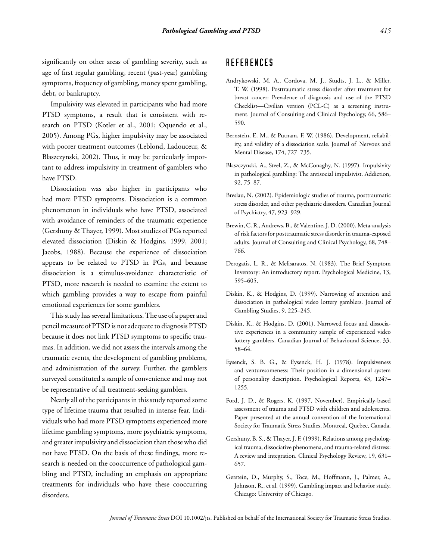Impulsivity was elevated in participants who had more PTSD symptoms, a result that is consistent with research on PTSD (Kotler et al., 2001; Oquendo et al., 2005). Among PGs, higher impulsivity may be associated with poorer treatment outcomes (Leblond, Ladouceur, & Blaszczynski, 2002). Thus, it may be particularly important to address impulsivity in treatment of gamblers who have PTSD.

Dissociation was also higher in participants who had more PTSD symptoms. Dissociation is a common phenomenon in individuals who have PTSD, associated with avoidance of reminders of the traumatic experience (Gershuny & Thayer, 1999). Most studies of PGs reported elevated dissociation (Diskin & Hodgins, 1999, 2001; Jacobs, 1988). Because the experience of dissociation appears to be related to PTSD in PGs, and because dissociation is a stimulus-avoidance characteristic of PTSD, more research is needed to examine the extent to which gambling provides a way to escape from painful emotional experiences for some gamblers.

This study has several limitations. The use of a paper and pencil measure of PTSD is not adequate to diagnosis PTSD because it does not link PTSD symptoms to specific traumas. In addition, we did not assess the intervals among the traumatic events, the development of gambling problems, and administration of the survey. Further, the gamblers surveyed constituted a sample of convenience and may not be representative of all treatment-seeking gamblers.

Nearly all of the participants in this study reported some type of lifetime trauma that resulted in intense fear. Individuals who had more PTSD symptoms experienced more lifetime gambling symptoms, more psychiatric symptoms, and greater impulsivity and dissociation than those who did not have PTSD. On the basis of these findings, more research is needed on the cooccurrence of pathological gambling and PTSD, including an emphasis on appropriate treatments for individuals who have these cooccurring disorders.

## **REFERENCES**

- Andrykowski, M. A., Cordova, M. J., Studts, J. L., & Miller, T. W. (1998). Posttraumatic stress disorder after treatment for breast cancer: Prevalence of diagnosis and use of the PTSD Checklist—Civilian version (PCL-C) as a screening instrument. Journal of Consulting and Clinical Psychology, 66, 586– 590.
- Bernstein, E. M., & Putnam, F. W. (1986). Development, reliability, and validity of a dissociation scale. Journal of Nervous and Mental Disease, 174, 727–735.
- Blaszczynski, A., Steel, Z., & McConaghy, N. (1997). Impulsivity in pathological gambling: The antisocial impulsivist. Addiction, 92, 75–87.
- Breslau, N. (2002). Epidemiologic studies of trauma, posttraumatic stress disorder, and other psychiatric disorders. Canadian Journal of Psychiatry, 47, 923–929.
- Brewin, C. R., Andrews, B., & Valentine, J. D. (2000). Meta-analysis of risk factors for posttraumatic stress disorder in trauma-exposed adults. Journal of Consulting and Clinical Psychology, 68, 748– 766.
- Derogatis, L. R., & Melisaratos, N. (1983). The Brief Symptom Inventory: An introductory report. Psychological Medicine, 13, 595–605.
- Diskin, K., & Hodgins, D. (1999). Narrowing of attention and dissociation in pathological video lottery gamblers. Journal of Gambling Studies, 9, 225–245.
- Diskin, K., & Hodgins, D. (2001). Narrowed focus and dissociative experiences in a community sample of experienced video lottery gamblers. Canadian Journal of Behavioural Science, 33, 58–64.
- Eysenck, S. B. G., & Eysenck, H. J. (1978). Impulsiveness and venturesomeness: Their position in a dimensional system of personality description. Psychological Reports, 43, 1247– 1255.
- Ford, J. D., & Rogers, K. (1997, November). Empirically-based assessment of trauma and PTSD with children and adolescents. Paper presented at the annual convention of the International Society for Traumatic Stress Studies, Montreal, Quebec, Canada.
- Gershuny, B. S., & Thayer, J. F. (1999). Relations among psychological trauma, dissociative phenomena, and trauma-related distress: A review and integration. Clinical Psychology Review, 19, 631– 657.
- Gerstein, D., Murphy, S., Toce, M., Hoffmann, J., Palmer, A., Johnson, R., et al. (1999). Gambling impact and behavior study. Chicago: University of Chicago.